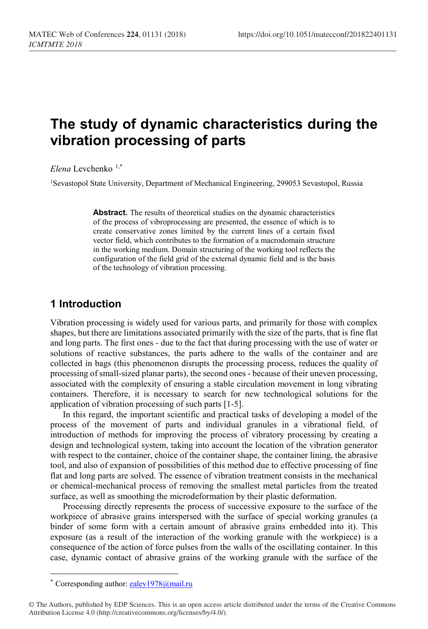# **The study of dynamic characteristics during the vibration processing of parts**

*Elena* Levchenko [1](#page-0-0),\*

<sup>1</sup>Sevastopol State University, Department of Mechanical Engineering, 299053 Sevastopol, Russia

**Abstract.** The results of theoretical studies on the dynamic characteristics of the process of vibroprocessing are presented, the essence of which is to create conservative zones limited by the current lines of a certain fixed vector field, which contributes to the formation of a macrodomain structure in the working medium. Domain structuring of the working tool reflects the configuration of the field grid of the external dynamic field and is the basis of the technology of vibration processing.

### **1 Introduction**

Vibration processing is widely used for various parts, and primarily for those with complex shapes, but there are limitations associated primarily with the size of the parts, that is fine flat and long parts. The first ones - due to the fact that during processing with the use of water or solutions of reactive substances, the parts adhere to the walls of the container and are collected in bags (this phenomenon disrupts the processing process, reduces the quality of processing of small-sized planar parts), the second ones - because of their uneven processing, associated with the complexity of ensuring a stable circulation movement in long vibrating containers. Therefore, it is necessary to search for new technological solutions for the application of vibration processing of such parts [1-5].

In this regard, the important scientific and practical tasks of developing a model of the process of the movement of parts and individual granules in a vibrational field, of introduction of methods for improving the process of vibratory processing by creating a design and technological system, taking into account the location of the vibration generator with respect to the container, choice of the container shape, the container lining, the abrasive tool, and also of expansion of possibilities of this method due to effective processing of fine flat and long parts are solved. The essence of vibration treatment consists in the mechanical or chemical-mechanical process of removing the smallest metal particles from the treated surface, as well as smoothing the microdeformation by their plastic deformation.

Processing directly represents the process of successive exposure to the surface of the workpiece of abrasive grains interspersed with the surface of special working granules (a binder of some form with a certain amount of abrasive grains embedded into it). This exposure (as a result of the interaction of the working granule with the workpiece) is a consequence of the action of force pulses from the walls of the oscillating container. In this case, dynamic contact of abrasive grains of the working granule with the surface of the

 $\overline{\phantom{a}}$ 

<sup>\*</sup> Corresponding author: ealey1978@mail.ru

<span id="page-0-0"></span><sup>©</sup> The Authors, published by EDP Sciences. This is an open access article distributed under the terms of the Creative Commons Attribution License 4.0 (http://creativecommons.org/licenses/by/4.0/).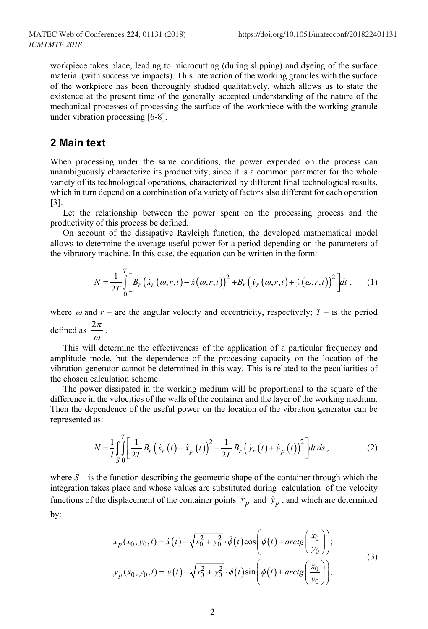workpiece takes place, leading to microcutting (during slipping) and dyeing of the surface material (with successive impacts). This interaction of the working granules with the surface of the workpiece has been thoroughly studied qualitatively, which allows us to state the existence at the present time of the generally accepted understanding of the nature of the mechanical processes of processing the surface of the workpiece with the working granule under vibration processing [6-8].

#### **2 Main text**

When processing under the same conditions, the power expended on the process can unambiguously characterize its productivity, since it is a common parameter for the whole variety of its technological operations, characterized by different final technological results, which in turn depend on a combination of a variety of factors also different for each operation [3].

Let the relationship between the power spent on the processing process and the productivity of this process be defined.

On account of the dissipative Rayleigh function, the developed mathematical model allows to determine the average useful power for a period depending on the parameters of the vibratory machine. In this case, the equation can be written in the form:

$$
N = \frac{1}{2T} \int_{0}^{T} \left[ B_r \left( \dot{x}_r \left( \omega, r, t \right) - \dot{x} \left( \omega, r, t \right) \right)^2 + B_r \left( \dot{y}_r \left( \omega, r, t \right) + \dot{y} \left( \omega, r, t \right) \right)^2 \right] dt , \qquad (1)
$$

where  $\omega$  and  $r$  – are the angular velocity and eccentricity, respectively;  $T$  – is the period defined as  $\frac{2\pi}{\omega}$ .

This will determine the effectiveness of the application of a particular frequency and amplitude mode, but the dependence of the processing capacity on the location of the vibration generator cannot be determined in this way. This is related to the peculiarities of the chosen calculation scheme.

The power dissipated in the working medium will be proportional to the square of the difference in the velocities of the walls of the container and the layer of the working medium. Then the dependence of the useful power on the location of the vibration generator can be represented as:

$$
N = \frac{1}{l} \int_{S}^{T} \left[ \frac{1}{2T} B_r \left( \dot{x}_r \left( t \right) - \dot{x}_p \left( t \right) \right)^2 + \frac{1}{2T} B_r \left( \dot{y}_r \left( t \right) + \dot{y}_p \left( t \right) \right)^2 \right] dt \, ds \,, \tag{2}
$$

where  $S -$  is the function describing the geometric shape of the container through which the integration takes place and whose values are substituted during calculation of the velocity functions of the displacement of the container points  $\dot{x}_p$  and  $\dot{y}_p$ , and which are determined by:

$$
x_p(x_0, y_0, t) = \dot{x}(t) + \sqrt{x_0^2 + y_0^2} \cdot \dot{\phi}(t) \cos\left(\phi(t) + \arctg\left(\frac{x_0}{y_0}\right)\right);
$$
  
\n
$$
y_p(x_0, y_0, t) = \dot{y}(t) - \sqrt{x_0^2 + y_0^2} \cdot \dot{\phi}(t) \sin\left(\phi(t) + \arctg\left(\frac{x_0}{y_0}\right)\right),
$$
\n(3)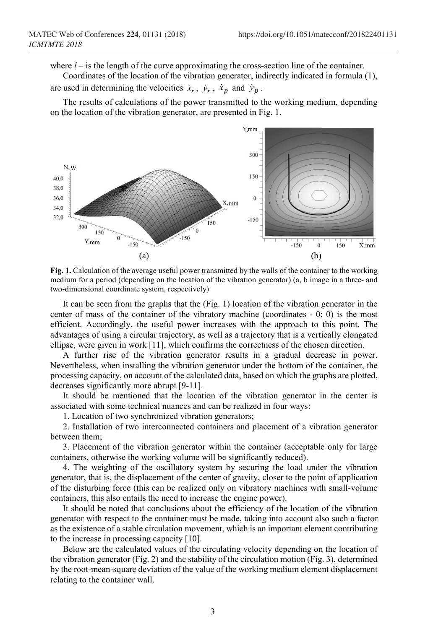where  $l -$  is the length of the curve approximating the cross-section line of the container.

Coordinates of the location of the vibration generator, indirectly indicated in formula (1),

are used in determining the velocities  $\dot{x}_r$ ,  $\dot{y}_r$ ,  $\dot{x}_p$  and  $\dot{y}_p$ .

The results of calculations of the power transmitted to the working medium, depending on the location of the vibration generator, are presented in Fig. 1.



**Fig. 1.** Calculation of the average useful power transmitted by the walls of the container to the working medium for a period (depending on the location of the vibration generator) (a, b image in a three- and two-dimensional coordinate system, respectively)

It can be seen from the graphs that the (Fig. 1) location of the vibration generator in the center of mass of the container of the vibratory machine (coordinates - 0; 0) is the most efficient. Accordingly, the useful power increases with the approach to this point. The advantages of using a circular trajectory, as well as a trajectory that is a vertically elongated ellipse, were given in work [11], which confirms the correctness of the chosen direction.

A further rise of the vibration generator results in a gradual decrease in power. Nevertheless, when installing the vibration generator under the bottom of the container, the processing capacity, on account of the calculated data, based on which the graphs are plotted, decreases significantly more abrupt [9-11].

It should be mentioned that the location of the vibration generator in the center is associated with some technical nuances and can be realized in four ways:

1. Location of two synchronized vibration generators;

2. Installation of two interconnected containers and placement of a vibration generator between them;

3. Placement of the vibration generator within the container (acceptable only for large containers, otherwise the working volume will be significantly reduced).

4. The weighting of the oscillatory system by securing the load under the vibration generator, that is, the displacement of the center of gravity, closer to the point of application of the disturbing force (this can be realized only on vibratory machines with small-volume containers, this also entails the need to increase the engine power).

It should be noted that conclusions about the efficiency of the location of the vibration generator with respect to the container must be made, taking into account also such a factor as the existence of a stable circulation movement, which is an important element contributing to the increase in processing capacity [10].

Below are the calculated values of the circulating velocity depending on the location of the vibration generator (Fig. 2) and the stability of the circulation motion (Fig. 3), determined by the root-mean-square deviation of the value of the working medium element displacement relating to the container wall.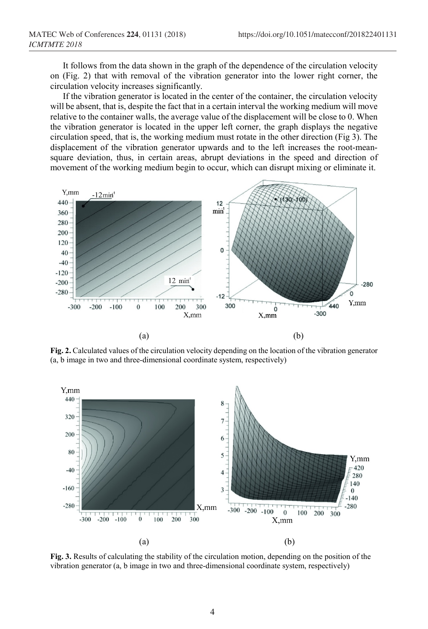It follows from the data shown in the graph of the dependence of the circulation velocity on (Fig. 2) that with removal of the vibration generator into the lower right corner, the circulation velocity increases significantly.

If the vibration generator is located in the center of the container, the circulation velocity will be absent, that is, despite the fact that in a certain interval the working medium will move relative to the container walls, the average value of the displacement will be close to 0. When the vibration generator is located in the upper left corner, the graph displays the negative circulation speed, that is, the working medium must rotate in the other direction (Fig 3). The displacement of the vibration generator upwards and to the left increases the root-meansquare deviation, thus, in certain areas, abrupt deviations in the speed and direction of movement of the working medium begin to occur, which can disrupt mixing or eliminate it.



**Fig. 2.** Calculated values of the circulation velocity depending on the location of the vibration generator (a, b image in two and three-dimensional coordinate system, respectively)



**Fig. 3.** Results of calculating the stability of the circulation motion, depending on the position of the vibration generator (a, b image in two and three-dimensional coordinate system, respectively)